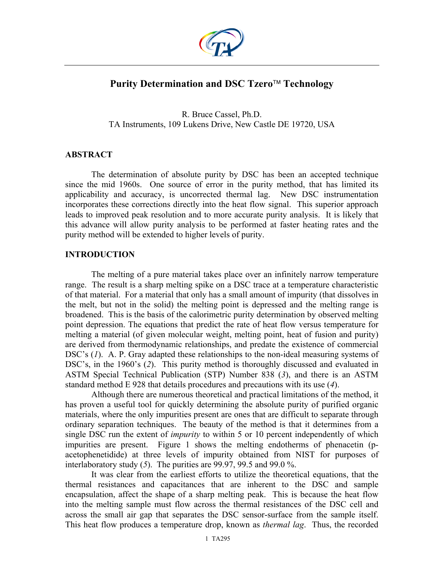

# **Purity Determination and DSC Tzero<sup>™</sup> Technology**

R. Bruce Cassel, Ph.D. TA Instruments, 109 Lukens Drive, New Castle DE 19720, USA

## **ABSTRACT**

The determination of absolute purity by DSC has been an accepted technique since the mid 1960s. One source of error in the purity method, that has limited its applicability and accuracy, is uncorrected thermal lag. New DSC instrumentation incorporates these corrections directly into the heat flow signal. This superior approach leads to improved peak resolution and to more accurate purity analysis. It is likely that this advance will allow purity analysis to be performed at faster heating rates and the purity method will be extended to higher levels of purity.

## **INTRODUCTION**

The melting of a pure material takes place over an infinitely narrow temperature range. The result is a sharp melting spike on a DSC trace at a temperature characteristic of that material. For a material that only has a small amount of impurity (that dissolves in the melt, but not in the solid) the melting point is depressed and the melting range is broadened. This is the basis of the calorimetric purity determination by observed melting point depression. The equations that predict the rate of heat flow versus temperature for melting a material (of given molecular weight, melting point, heat of fusion and purity) are derived from thermodynamic relationships, and predate the existence of commercial DSC's (1). A. P. Gray adapted these relationships to the non-ideal measuring systems of DSC's, in the 1960's (*2*). This purity method is thoroughly discussed and evaluated in ASTM Special Technical Publication (STP) Number 838 (*3*), and there is an ASTM standard method E 928 that details procedures and precautions with its use (*4*).

Although there are numerous theoretical and practical limitations of the method, it has proven a useful tool for quickly determining the absolute purity of purified organic materials, where the only impurities present are ones that are difficult to separate through ordinary separation techniques. The beauty of the method is that it determines from a single DSC run the extent of *impurity* to within 5 or 10 percent independently of which impurities are present. Figure 1 shows the melting endotherms of phenacetin (pacetophenetidide) at three levels of impurity obtained from NIST for purposes of interlaboratory study (*5*). The purities are 99.97, 99.5 and 99.0 %.

It was clear from the earliest efforts to utilize the theoretical equations, that the thermal resistances and capacitances that are inherent to the DSC and sample encapsulation, affect the shape of a sharp melting peak. This is because the heat flow into the melting sample must flow across the thermal resistances of the DSC cell and across the small air gap that separates the DSC sensor-surface from the sample itself. This heat flow produces a temperature drop, known as *thermal lag*. Thus, the recorded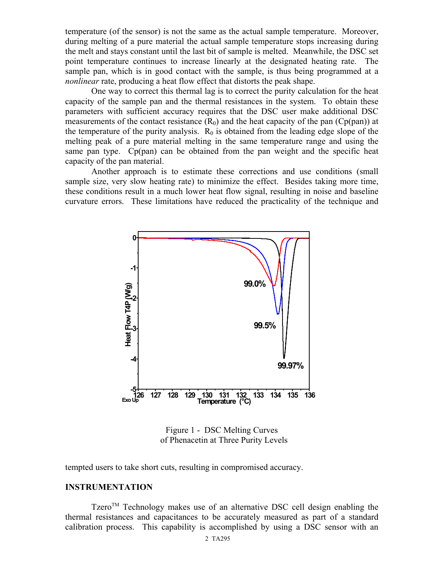temperature (of the sensor) is not the same as the actual sample temperature. Moreover, during melting of a pure material the actual sample temperature stops increasing during the melt and stays constant until the last bit of sample is melted. Meanwhile, the DSC set point temperature continues to increase linearly at the designated heating rate. The sample pan, which is in good contact with the sample, is thus being programmed at a *nonlinear* rate, producing a heat flow effect that distorts the peak shape.

 One way to correct this thermal lag is to correct the purity calculation for the heat capacity of the sample pan and the thermal resistances in the system. To obtain these parameters with sufficient accuracy requires that the DSC user make additional DSC measurements of the contact resistance  $(R_0)$  and the heat capacity of the pan  $(Cp(pan))$  at the temperature of the purity analysis.  $R_0$  is obtained from the leading edge slope of the melting peak of a pure material melting in the same temperature range and using the same pan type. Cp(pan) can be obtained from the pan weight and the specific heat capacity of the pan material.

Another approach is to estimate these corrections and use conditions (small sample size, very slow heating rate) to minimize the effect. Besides taking more time, these conditions result in a much lower heat flow signal, resulting in noise and baseline curvature errors. These limitations have reduced the practicality of the technique and



Figure 1 - DSC Melting Curves of Phenacetin at Three Purity Levels

tempted users to take short cuts, resulting in compromised accuracy.

### **INSTRUMENTATION**

Tzero<sup>TM</sup> Technology makes use of an alternative DSC cell design enabling the thermal resistances and capacitances to be accurately measured as part of a standard calibration process. This capability is accomplished by using a DSC sensor with an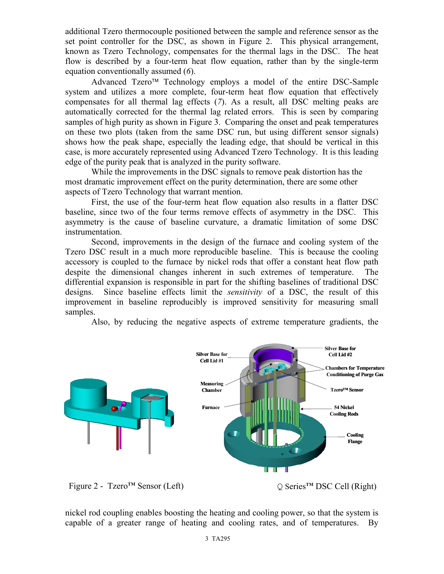additional Tzero thermocouple positioned between the sample and reference sensor as the set point controller for the DSC, as shown in Figure 2. This physical arrangement, known as Tzero Technology, compensates for the thermal lags in the DSC. The heat flow is described by a four-term heat flow equation, rather than by the single-term equation conventionally assumed (*6*).

Advanced Tzero<sup>™</sup> Technology employs a model of the entire DSC-Sample system and utilizes a more complete, four-term heat flow equation that effectively compensates for all thermal lag effects (*7*). As a result, all DSC melting peaks are automatically corrected for the thermal lag related errors. This is seen by comparing samples of high purity as shown in Figure 3. Comparing the onset and peak temperatures on these two plots (taken from the same DSC run, but using different sensor signals) shows how the peak shape, especially the leading edge, that should be vertical in this case, is more accurately represented using Advanced Tzero Technology. It is this leading edge of the purity peak that is analyzed in the purity software.

While the improvements in the DSC signals to remove peak distortion has the most dramatic improvement effect on the purity determination, there are some other aspects of Tzero Technology that warrant mention.

First, the use of the four-term heat flow equation also results in a flatter DSC baseline, since two of the four terms remove effects of asymmetry in the DSC. This asymmetry is the cause of baseline curvature, a dramatic limitation of some DSC instrumentation.

Second, improvements in the design of the furnace and cooling system of the Tzero DSC result in a much more reproducible baseline. This is because the cooling accessory is coupled to the furnace by nickel rods that offer a constant heat flow path despite the dimensional changes inherent in such extremes of temperature. The differential expansion is responsible in part for the shifting baselines of traditional DSC designs. Since baseline effects limit the *sensitivity* of a DSC, the result of this improvement in baseline reproducibly is improved sensitivity for measuring small samples.

Also, by reducing the negative aspects of extreme temperature gradients, the



nickel rod coupling enables boosting the heating and cooling power, so that the system is capable of a greater range of heating and cooling rates, and of temperatures. By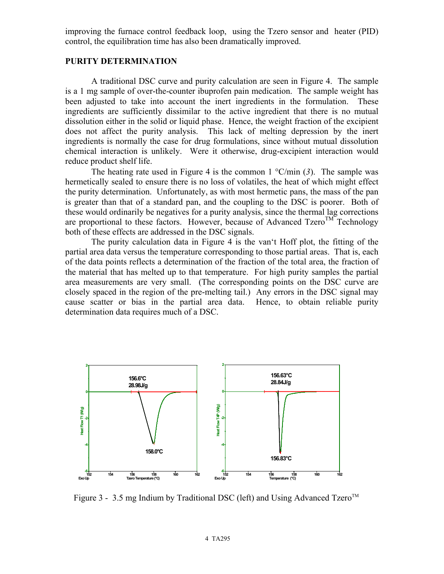improving the furnace control feedback loop, using the Tzero sensor and heater (PID) control, the equilibration time has also been dramatically improved.

#### **PURITY DETERMINATION**

A traditional DSC curve and purity calculation are seen in Figure 4. The sample is a 1 mg sample of over-the-counter ibuprofen pain medication. The sample weight has been adjusted to take into account the inert ingredients in the formulation. These ingredients are sufficiently dissimilar to the active ingredient that there is no mutual dissolution either in the solid or liquid phase. Hence, the weight fraction of the excipient does not affect the purity analysis. This lack of melting depression by the inert ingredients is normally the case for drug formulations, since without mutual dissolution chemical interaction is unlikely. Were it otherwise, drug-excipient interaction would reduce product shelf life.

The heating rate used in Figure 4 is the common  $1 \degree C/min$  (3). The sample was hermetically sealed to ensure there is no loss of volatiles, the heat of which might effect the purity determination. Unfortunately, as with most hermetic pans, the mass of the pan is greater than that of a standard pan, and the coupling to the DSC is poorer. Both of these would ordinarily be negatives for a purity analysis, since the thermal lag corrections are proportional to these factors. However, because of Advanced Tzero<sup>TM</sup> Technology both of these effects are addressed in the DSC signals.

The purity calculation data in Figure 4 is the van't Hoff plot, the fitting of the partial area data versus the temperature corresponding to those partial areas. That is, each of the data points reflects a determination of the fraction of the total area, the fraction of the material that has melted up to that temperature. For high purity samples the partial area measurements are very small. (The corresponding points on the DSC curve are closely spaced in the region of the pre-melting tail.) Any errors in the DSC signal may cause scatter or bias in the partial area data. Hence, to obtain reliable purity determination data requires much of a DSC.



Figure 3 - 3.5 mg Indium by Traditional DSC (left) and Using Advanced Tzero<sup>TM</sup>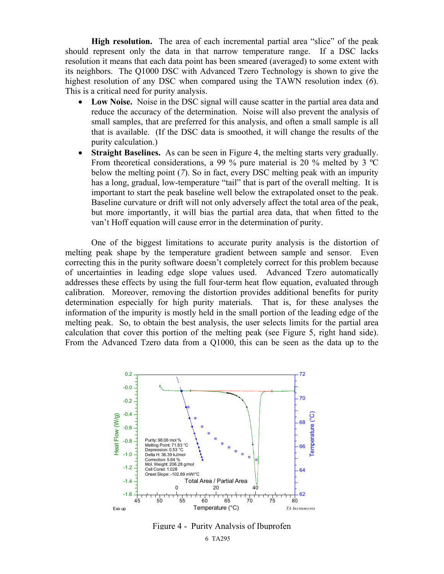**High resolution.** The area of each incremental partial area "slice" of the peak should represent only the data in that narrow temperature range. If a DSC lacks resolution it means that each data point has been smeared (averaged) to some extent with its neighbors. The Q1000 DSC with Advanced Tzero Technology is shown to give the highest resolution of any DSC when compared using the TAWN resolution index (*6*). This is a critical need for purity analysis.

- **Low Noise.** Noise in the DSC signal will cause scatter in the partial area data and reduce the accuracy of the determination. Noise will also prevent the analysis of small samples, that are preferred for this analysis, and often a small sample is all that is available. (If the DSC data is smoothed, it will change the results of the purity calculation.)
- **Straight Baselines.** As can be seen in Figure 4, the melting starts very gradually. From theoretical considerations, a 99 % pure material is 20 % melted by 3 ºC below the melting point (*7*). So in fact, every DSC melting peak with an impurity has a long, gradual, low-temperature "tail" that is part of the overall melting. It is important to start the peak baseline well below the extrapolated onset to the peak. Baseline curvature or drift will not only adversely affect the total area of the peak, but more importantly, it will bias the partial area data, that when fitted to the van't Hoff equation will cause error in the determination of purity.

One of the biggest limitations to accurate purity analysis is the distortion of melting peak shape by the temperature gradient between sample and sensor. Even correcting this in the purity software doesn't completely correct for this problem because of uncertainties in leading edge slope values used. Advanced Tzero automatically addresses these effects by using the full four-term heat flow equation, evaluated through calibration. Moreover, removing the distortion provides additional benefits for purity determination especially for high purity materials. That is, for these analyses the information of the impurity is mostly held in the small portion of the leading edge of the melting peak. So, to obtain the best analysis, the user selects limits for the partial area calculation that cover this portion of the melting peak (see Figure 5, right hand side). From the Advanced Tzero data from a Q1000, this can be seen as the data up to the



Figure 4 - Purity Analysis of Ibuprofen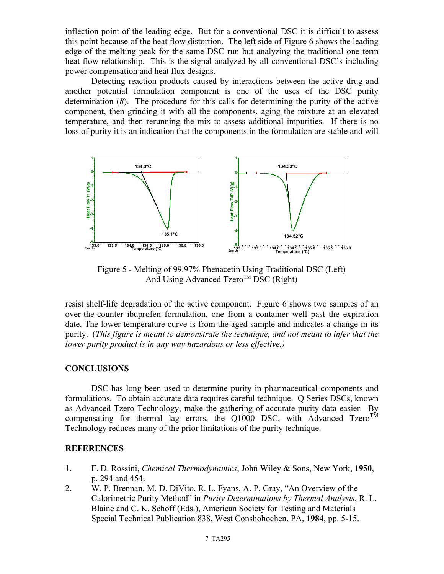inflection point of the leading edge. But for a conventional DSC it is difficult to assess this point because of the heat flow distortion. The left side of Figure 6 shows the leading edge of the melting peak for the same DSC run but analyzing the traditional one term heat flow relationship. This is the signal analyzed by all conventional DSC's including power compensation and heat flux designs.

Detecting reaction products caused by interactions between the active drug and another potential formulation component is one of the uses of the DSC purity determination (*8*). The procedure for this calls for determining the purity of the active component, then grinding it with all the components, aging the mixture at an elevated temperature, and then rerunning the mix to assess additional impurities. If there is no loss of purity it is an indication that the components in the formulation are stable and will



Figure 5 - Melting of 99.97% Phenacetin Using Traditional DSC (Left) And Using Advanced Tzero**TM** DSC (Right)

resist shelf-life degradation of the active component. Figure 6 shows two samples of an over-the-counter ibuprofen formulation, one from a container well past the expiration date. The lower temperature curve is from the aged sample and indicates a change in its purity. (*This figure is meant to demonstrate the technique, and not meant to infer that the lower purity product is in any way hazardous or less effective.)*

#### **CONCLUSIONS**

DSC has long been used to determine purity in pharmaceutical components and formulations. To obtain accurate data requires careful technique. Q Series DSCs, known as Advanced Tzero Technology, make the gathering of accurate purity data easier. By compensating for thermal lag errors, the Q1000 DSC, with Advanced Tzero<sup>TM</sup> Technology reduces many of the prior limitations of the purity technique.

#### **REFERENCES**

- 1. F. D. Rossini, *Chemical Thermodynamics*, John Wiley & Sons, New York, **1950**, p. 294 and 454.
- 2. W. P. Brennan, M. D. DiVito, R. L. Fyans, A. P. Gray, "An Overview of the Calorimetric Purity Method" in *Purity Determinations by Thermal Analysis*, R. L. Blaine and C. K. Schoff (Eds.), American Society for Testing and Materials Special Technical Publication 838, West Conshohochen, PA, **1984**, pp. 5-15.